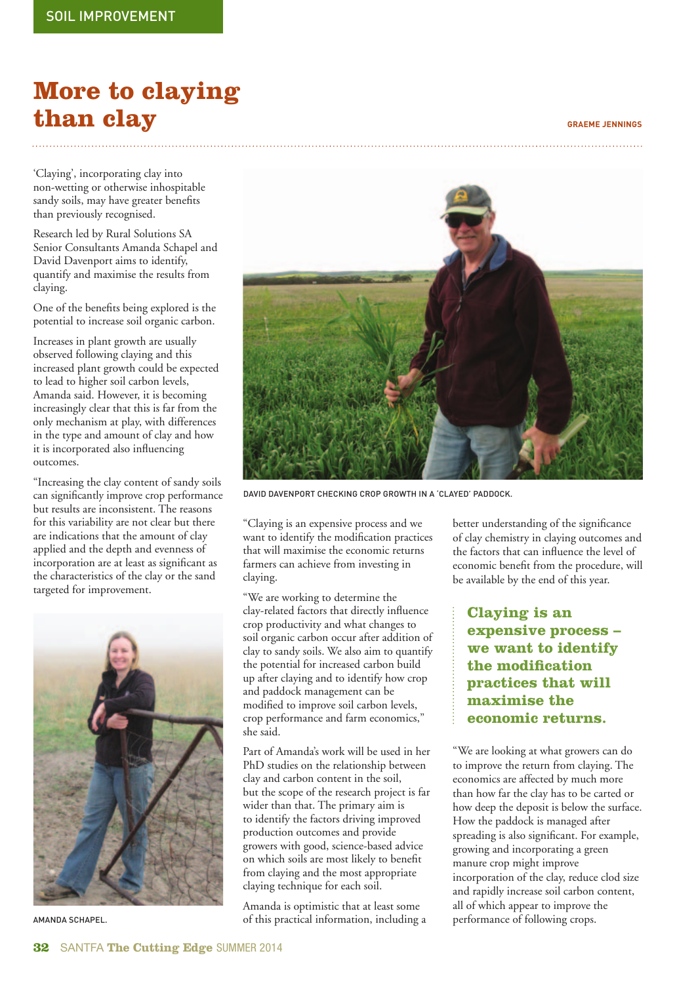## **More to claying than clay GRAEME JENNINGS**

'Claying', incorporating clay into non-wetting or otherwise inhospitable sandy soils, may have greater benefits than previously recognised.

Research led by Rural Solutions SA Senior Consultants Amanda Schapel and David Davenport aims to identify, quantify and maximise the results from claying.

One of the benefits being explored is the potential to increase soil organic carbon.

Increases in plant growth are usually observed following claying and this increased plant growth could be expected to lead to higher soil carbon levels, Amanda said. However, it is becoming increasingly clear that this is far from the only mechanism at play, with differences in the type and amount of clay and how it is incorporated also influencing outcomes.

"Increasing the clay content of sandy soils can significantly improve crop performance but results are inconsistent. The reasons for this variability are not clear but there are indications that the amount of clay applied and the depth and evenness of incorporation are at least as significant as the characteristics of the clay or the sand targeted for improvement.





DAVID DAVENPORT CHECKING CROP GROWTH IN A 'CLAYED' PADDOCK.

"Claying is an expensive process and we want to identify the modification practices that will maximise the economic returns farmers can achieve from investing in claying.

"We are working to determine the clay-related factors that directly influence crop productivity and what changes to soil organic carbon occur after addition of clay to sandy soils. We also aim to quantify the potential for increased carbon build up after claying and to identify how crop and paddock management can be modified to improve soil carbon levels, crop performance and farm economics," she said.

Part of Amanda's work will be used in her PhD studies on the relationship between clay and carbon content in the soil, but the scope of the research project is far wider than that. The primary aim is to identify the factors driving improved production outcomes and provide growers with good, science-based advice on which soils are most likely to benefit from claying and the most appropriate claying technique for each soil.

Amanda is optimistic that at least some of this practical information, including a AMANDA SCHAPEL. performance of following crops.

better understanding of the significance of clay chemistry in claying outcomes and the factors that can influence the level of economic benefit from the procedure, will be available by the end of this year.

 **Claying is an expensive process – we want to identify the modifi cation practices that will maximise the economic returns.**

"We are looking at what growers can do to improve the return from claying. The economics are affected by much more than how far the clay has to be carted or how deep the deposit is below the surface. How the paddock is managed after spreading is also significant. For example, growing and incorporating a green manure crop might improve incorporation of the clay, reduce clod size and rapidly increase soil carbon content, all of which appear to improve the<br>performance of following crops.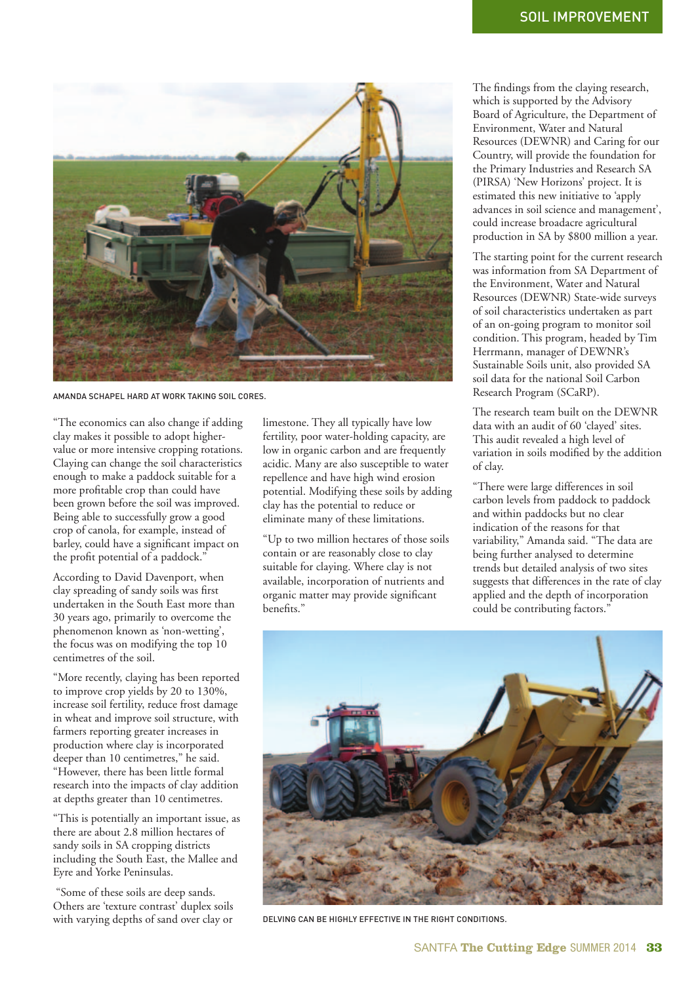

AMANDA SCHAPEL HARD AT WORK TAKING SOIL CORES.

"The economics can also change if adding clay makes it possible to adopt highervalue or more intensive cropping rotations. Claying can change the soil characteristics enough to make a paddock suitable for a more profitable crop than could have been grown before the soil was improved. Being able to successfully grow a good crop of canola, for example, instead of barley, could have a significant impact on the profit potential of a paddock."

According to David Davenport, when clay spreading of sandy soils was first undertaken in the South East more than 30 years ago, primarily to overcome the phenomenon known as 'non-wetting', the focus was on modifying the top 10 centimetres of the soil.

"More recently, claying has been reported to improve crop yields by 20 to 130%, increase soil fertility, reduce frost damage in wheat and improve soil structure, with farmers reporting greater increases in production where clay is incorporated deeper than 10 centimetres," he said. "However, there has been little formal research into the impacts of clay addition at depths greater than 10 centimetres.

"This is potentially an important issue, as there are about 2.8 million hectares of sandy soils in SA cropping districts including the South East, the Mallee and Eyre and Yorke Peninsulas.

 "Some of these soils are deep sands. Others are 'texture contrast' duplex soils with varying depths of sand over clay or

limestone. They all typically have low fertility, poor water-holding capacity, are low in organic carbon and are frequently acidic. Many are also susceptible to water repellence and have high wind erosion potential. Modifying these soils by adding clay has the potential to reduce or eliminate many of these limitations.

"Up to two million hectares of those soils contain or are reasonably close to clay suitable for claying. Where clay is not available, incorporation of nutrients and organic matter may provide significant benefits."

The findings from the claying research, which is supported by the Advisory Board of Agriculture, the Department of Environment, Water and Natural Resources (DEWNR) and Caring for our Country, will provide the foundation for the Primary Industries and Research SA (PIRSA) 'New Horizons' project. It is estimated this new initiative to 'apply advances in soil science and management', could increase broadacre agricultural production in SA by \$800 million a year.

The starting point for the current research was information from SA Department of the Environment, Water and Natural Resources (DEWNR) State-wide surveys of soil characteristics undertaken as part of an on-going program to monitor soil condition. This program, headed by Tim Herrmann, manager of DEWNR's Sustainable Soils unit, also provided SA soil data for the national Soil Carbon Research Program (SCaRP).

The research team built on the DEWNR data with an audit of 60 'clayed' sites. This audit revealed a high level of variation in soils modified by the addition of clay.

"There were large differences in soil carbon levels from paddock to paddock and within paddocks but no clear indication of the reasons for that variability," Amanda said. "The data are being further analysed to determine trends but detailed analysis of two sites suggests that differences in the rate of clay applied and the depth of incorporation could be contributing factors."



DELVING CAN BE HIGHLY EFFECTIVE IN THE RIGHT CONDITIONS.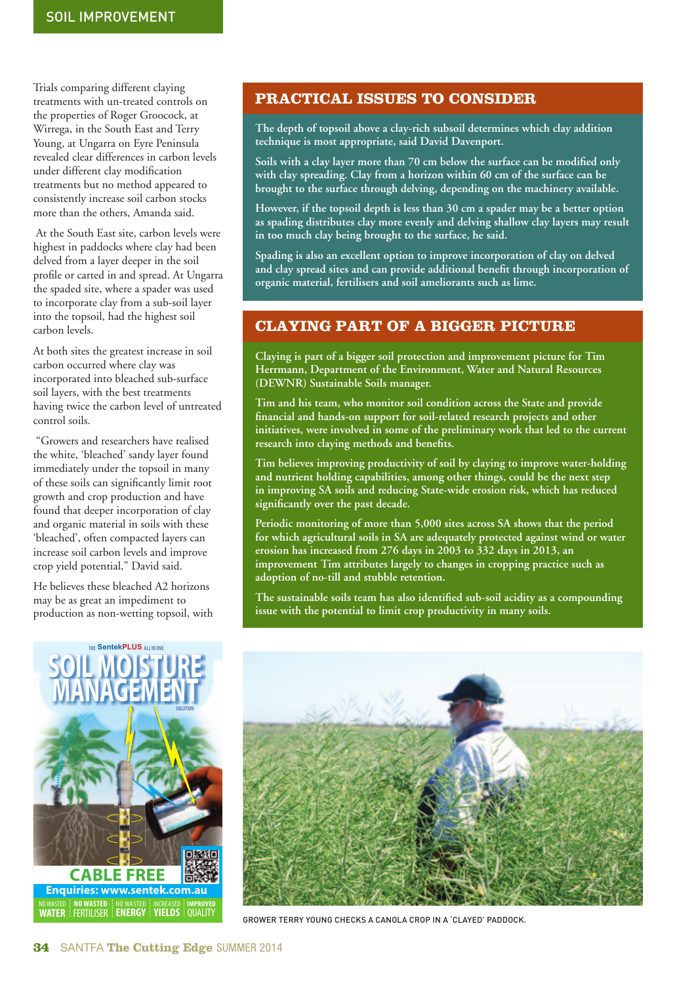Trials comparing different claying treatments with un-treated controls on the properties of Roger Groocock, at Wirrega, in the South East and Terry Young, at Ungarra on Eyre Peninsula revealed clear differences in carbon levels under different clay modification treatments but no method appeared to consistently increase soil carbon stocks more than the others, Amanda said.

 At the South East site, carbon levels were highest in paddocks where clay had been delved from a layer deeper in the soil profile or carted in and spread. At Ungarra the spaded site, where a spader was used to incorporate clay from a sub-soil layer into the topsoil, had the highest soil carbon levels.

At both sites the greatest increase in soil carbon occurred where clay was incorporated into bleached sub-surface soil layers, with the best treatments having twice the carbon level of untreated control soils.

 "Growers and researchers have realised the white, 'bleached' sandy layer found immediately under the topsoil in many of these soils can significantly limit root growth and crop production and have found that deeper incorporation of clay and organic material in soils with these 'bleached', often compacted layers can increase soil carbon levels and improve crop yield potential," David said.

He believes these bleached A2 horizons may be as great an impediment to production as non-wetting topsoil, with



**The depth of topsoil above a clay-rich subsoil determines which clay addition technique is most appropriate, said David Davenport.** 

Soils with a clay layer more than 70 cm below the surface can be modified only **with clay spreading. Clay from a horizon within 60 cm of the surface can be brought to the surface through delving, depending on the machinery available.** 

**However, if the topsoil depth is less than 30 cm a spader may be a better option as spading distributes clay more evenly and delving shallow clay layers may result in too much clay being brought to the surface, he said.** 

**Spading is also an excellent option to improve incorporation of clay on delved**  and clay spread sites and can provide additional benefit through incorporation of **organic material, fertilisers and soil ameliorants such as lime.** 

## **CLAYING PART OF A BIGGER PICTURE**

**Claying is part of a bigger soil protection and improvement picture for Tim Herrmann, Department of the Environment, Water and Natural Resources (DEWNR) Sustainable Soils manager.** 

**Tim and his team, who monitor soil condition across the State and provide**  financial and hands-on support for soil-related research projects and other **initiatives, were involved in some of the preliminary work that led to the current**  research into claying methods and benefits.

**Tim believes improving productivity of soil by claying to improve water-holding and nutrient holding capabilities, among other things, could be the next step in improving SA soils and reducing State-wide erosion risk, which has reduced signifi cantly over the past decade.**

**Periodic monitoring of more than 5,000 sites across SA shows that the period for which agricultural soils in SA are adequately protected against wind or water erosion has increased from 276 days in 2003 to 332 days in 2013, an improvement Tim attributes largely to changes in cropping practice such as adoption of no-till and stubble retention.** 

The sustainable soils team has also identified sub-soil acidity as a compounding **issue with the potential to limit crop productivity in many soils.**





GROWER TERRY YOUNG CHECKS A CANOLA CROP IN A 'CLAYED' PADDOCK.